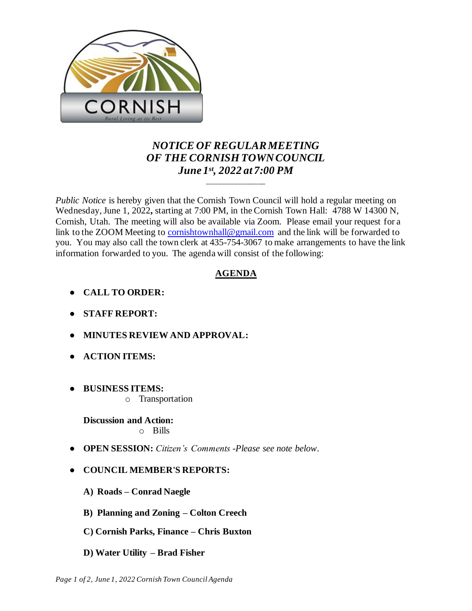

## *NOTICE OF REGULAR MEETING OF THE CORNISH TOWN COUNCIL June 1st , 2022 at 7:00 PM*

\_\_\_\_\_\_\_\_\_\_\_\_\_\_\_

*Public Notice* is hereby given that the Cornish Town Council will hold a regular meeting on Wednesday, June 1, 2022**,** starting at 7:00 PM, in the Cornish Town Hall: 4788 W 14300 N, Cornish, Utah. The meeting will also be available via Zoom. Please email your request for a link to the ZOOM Meeting to [cornishtownhall@gmail.com](mailto:cornishtownhall@gmail.com) and the link will be forwarded to you. You may also call the town clerk at 435-754-3067 to make arrangements to have the link information forwarded to you. The agenda will consist of the following:

## **AGENDA**

- **● CALL TO ORDER:**
- **● STAFF REPORT:**
- **● MINUTES REVIEW AND APPROVAL:**
- **● ACTION ITEMS:**
- **● BUSINESS ITEMS:** 
	- o Transportation

**Discussion and Action:**  o Bills

- **OPEN SESSION:** *Citizen's Comments -Please see note below.*
- **● COUNCIL MEMBER'S REPORTS:**
	- **A) Roads – Conrad Naegle**
	- **B) Planning and Zoning – Colton Creech**
	- **C) Cornish Parks, Finance – Chris Buxton**
	- **D) Water Utility – Brad Fisher**